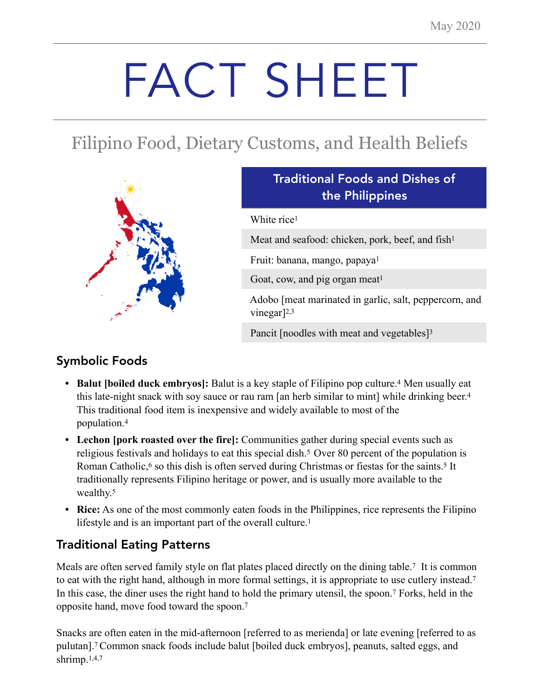# FACT SHEET

# Filipino Food, Dietary Customs, and Health Beliefs



# Traditional Foods and Dishes of the Philippines

White rice<sup>1</sup>

Meat and seafood: chicken, pork, beef, and fish<sup>1</sup>

Fruit: banana, mango, papaya1

Goat, cow, and pig organ meat<sup>1</sup>

 Adobo [meat marinated in garlic, salt, peppercorn, and vinegar]2,3

Pancit [noodles with meat and vegetables]<sup>3</sup>

# Symbolic Foods

- **• Balut [boiled duck embryos]:** Balut is a key staple of Filipino pop culture.4 Men usually eat this late-night snack with soy sauce or rau ram [an herb similar to mint] while drinking beer.4 This traditional food item is inexpensive and widely available to most of the population.4
- **• Lechon [pork roasted over the fire]:** Communities gather during special events such as religious festivals and holidays to eat this special dish.5 Over 80 percent of the population is Roman Catholic,<sup>6</sup> so this dish is often served during Christmas or fiestas for the saints.<sup>5</sup> It traditionally represents Filipino heritage or power, and is usually more available to the wealthy.<sup>5</sup>
- **• Rice:** As one of the most commonly eaten foods in the Philippines, rice represents the Filipino lifestyle and is an important part of the overall culture.<sup>1</sup>

# Traditional Eating Patterns

Meals are often served family style on flat plates placed directly on the dining table.<sup>7</sup> It is common to eat with the right hand, although in more formal settings, it is appropriate to use cutlery instead.<sup>7</sup> In this case, the diner uses the right hand to hold the primary utensil, the spoon.7 Forks, held in the opposite hand, move food toward the spoon.7

Snacks are often eaten in the mid-afternoon [referred to as merienda] or late evening [referred to as pulutan].7 Common snack foods include balut [boiled duck embryos], peanuts, salted eggs, and shrimp.1,4,7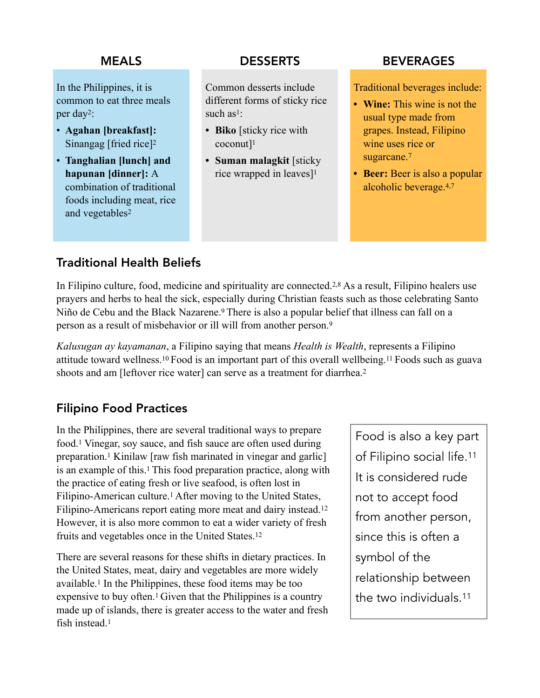In the Philippines, it is common to eat three meals per day2:

- **Agahan [breakfast]:**  Sinangag [fried rice]2
- **Tanghalian [lunch] and hapunan [dinner]:** A combination of traditional foods including meat, rice and vegetables2

Common desserts include different forms of sticky rice such  $as<sup>1</sup>$ .

- **• Biko** [sticky rice with coconut]1
- **• Suman malagkit** [sticky rice wrapped in leaves]<sup>1</sup>

### MEALS DESSERTS BEVERAGES

Traditional beverages include:

- **• Wine:** This wine is not the usual type made from grapes. Instead, Filipino wine uses rice or sugarcane.<sup>7</sup>
- **• Beer:** Beer is also a popular alcoholic beverage.4,7

# Traditional Health Beliefs

In Filipino culture, food, medicine and spirituality are connected.2,8 As a result, Filipino healers use prayers and herbs to heal the sick, especially during Christian feasts such as those celebrating Santo Niño de Cebu and the Black Nazarene.9 There is also a popular belief that illness can fall on a person as a result of misbehavior or ill will from another person.9

*Kalusugan ay kayamanan*, a Filipino saying that means *Health is Wealth*, represents a Filipino attitude toward wellness.10 Food is an important part of this overall wellbeing.11 Foods such as guava shoots and am [leftover rice water] can serve as a treatment for diarrhea.<sup>2</sup>

## Filipino Food Practices

In the Philippines, there are several traditional ways to prepare food.1 Vinegar, soy sauce, and fish sauce are often used during preparation.1 Kinilaw [raw fish marinated in vinegar and garlic] is an example of this.1 This food preparation practice, along with the practice of eating fresh or live seafood, is often lost in Filipino-American culture.<sup>1</sup> After moving to the United States, Filipino-Americans report eating more meat and dairy instead.12 However, it is also more common to eat a wider variety of fresh fruits and vegetables once in the United States.12

There are several reasons for these shifts in dietary practices. In the United States, meat, dairy and vegetables are more widely available.1 In the Philippines, these food items may be too expensive to buy often.1 Given that the Philippines is a country made up of islands, there is greater access to the water and fresh fish instead<sup>1</sup>

Food is also a key part of Filipino social life.11 It is considered rude not to accept food from another person, since this is often a symbol of the relationship between the two individuals.11